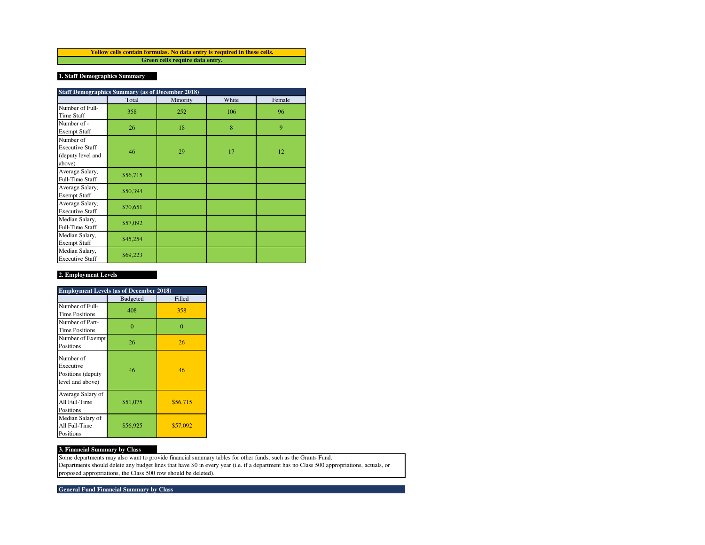**Green cells require data entry. Yellow cells contain formulas. No data entry is required in these cells.**

# **1. Staff Demographics Summary**

| <b>Staff Demographics Summary (as of December 2018)</b>            |          |          |       |        |  |  |  |  |
|--------------------------------------------------------------------|----------|----------|-------|--------|--|--|--|--|
|                                                                    | Total    | Minority | White | Female |  |  |  |  |
| Number of Full-<br><b>Time Staff</b>                               | 358      | 252      | 106   | 96     |  |  |  |  |
| Number of -<br><b>Exempt Staff</b>                                 | 26       | 18       | 8     | 9      |  |  |  |  |
| Number of<br><b>Executive Staff</b><br>(deputy level and<br>above) | 46       | 29       | 17    | 12     |  |  |  |  |
| Average Salary,<br>Full-Time Staff                                 | \$56,715 |          |       |        |  |  |  |  |
| Average Salary,<br><b>Exempt Staff</b>                             | \$50,394 |          |       |        |  |  |  |  |
| Average Salary,<br><b>Executive Staff</b>                          | \$70,651 |          |       |        |  |  |  |  |
| Median Salary,<br>Full-Time Staff                                  | \$57,092 |          |       |        |  |  |  |  |
| Median Salary,<br><b>Exempt Staff</b>                              | \$45,254 |          |       |        |  |  |  |  |
| Median Salary,<br><b>Executive Staff</b>                           | \$69,223 |          |       |        |  |  |  |  |

## **2. Employment Levels**

| <b>Employment Levels (as of December 2018)</b>                  |                 |          |  |  |  |  |  |
|-----------------------------------------------------------------|-----------------|----------|--|--|--|--|--|
|                                                                 | <b>Budgeted</b> | Filled   |  |  |  |  |  |
| Number of Full-<br><b>Time Positions</b>                        | 408             | 358      |  |  |  |  |  |
| Number of Part-<br><b>Time Positions</b>                        | $\theta$        | $\Omega$ |  |  |  |  |  |
| Number of Exempt<br>Positions                                   | 26              | 26       |  |  |  |  |  |
| Number of<br>Executive<br>Positions (deputy<br>level and above) | 46              | 46       |  |  |  |  |  |
| Average Salary of<br>All Full-Time<br>Positions                 | \$51,075        | \$56,715 |  |  |  |  |  |
| Median Salary of<br>All Full-Time<br>Positions                  | \$56,925        | \$57,092 |  |  |  |  |  |

## **3. Financial Summary by Class**

Some departments may also want to provide financial summary tables for other funds, such as the Grants Fund. Departments should delete any budget lines that have \$0 in every year (i.e. if a department has no Class 500 appropriations, actuals, or proposed appropriations, the Class 500 row should be deleted).

**General Fund Financial Summary by Class**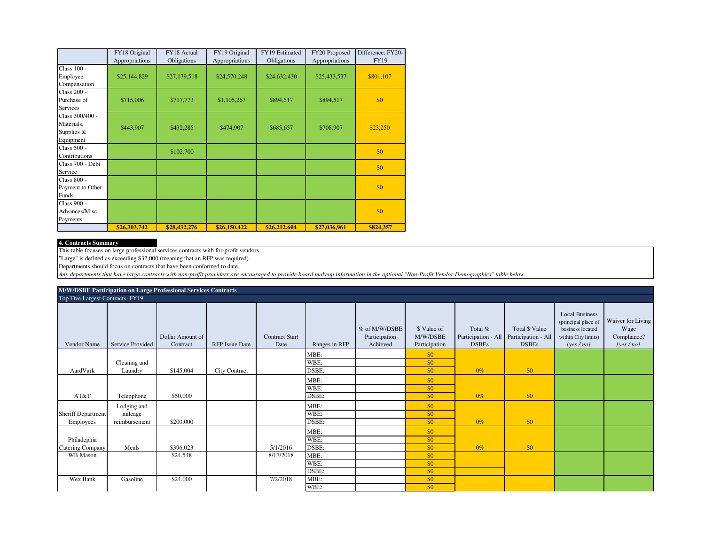|                                                            | FY18 Original<br>Appropriations | FY18 Actual<br>Obligations | FY19 Original<br>Appropriations | FY19 Estimated<br>Obligations | FY20 Proposed<br>Appropriations | Difference: FY20-<br><b>FY19</b> |
|------------------------------------------------------------|---------------------------------|----------------------------|---------------------------------|-------------------------------|---------------------------------|----------------------------------|
| Class 100 -<br>Employee<br>Compensation                    | \$25,144,829                    | \$27,179,518               | \$24,570,248                    | \$24,632,430                  | \$25,433,537                    | \$801,107                        |
| Class 200 -<br>Purchase of<br><b>Services</b>              | \$715,006                       | \$717,773                  | \$1,105,267                     | \$894,517                     | \$894,517                       | \$0                              |
| Class 300/400 -<br>Materials,<br>Supplies $&$<br>Equipment | \$443,907                       | \$432,285                  | \$474,907                       | \$685,657                     | \$708,907                       | \$23,250                         |
| Class 500 -<br>Contributions                               |                                 | \$102,700                  |                                 |                               |                                 | \$0                              |
| Class 700 - Debt<br>Service                                |                                 |                            |                                 |                               |                                 | \$0                              |
| Class 800 -<br>Payment to Other<br>Funds                   |                                 |                            |                                 |                               |                                 | \$0                              |
| Class 900 -<br>Advances/Misc.<br>Payments                  |                                 |                            |                                 |                               |                                 | \$0                              |
|                                                            | \$26,303,742                    | \$28,432,276               | \$26,150,422                    | \$26,212,604                  | \$27,036,961                    | \$824,357                        |

#### **4. Contracts Summary**

This table focuses on large professional services contracts with for-profit vendors.

"Large" is defined as exceeding \$32,000 (meaning that an RFP was required).

Departments should focus on contracts that have been conformed to date.

*Any departments that have large contracts with non-profit providers are encouraged to provide board makeup information in the optional "Non-Profit Vendor Demographics" table below.*

| M/W/DSBE Participation on Large Professional Services Contracts |                                  |                              |                       |                               |               |                                            |                                          |                         |                                                                             |                                                                                                     |                                                      |
|-----------------------------------------------------------------|----------------------------------|------------------------------|-----------------------|-------------------------------|---------------|--------------------------------------------|------------------------------------------|-------------------------|-----------------------------------------------------------------------------|-----------------------------------------------------------------------------------------------------|------------------------------------------------------|
|                                                                 | Top Five Largest Contracts, FY19 |                              |                       |                               |               |                                            |                                          |                         |                                                                             |                                                                                                     |                                                      |
| Vendor Name                                                     | Service Provided                 | Dollar Amount of<br>Contract | <b>RFP</b> Issue Date | <b>Contract Start</b><br>Date | Ranges in RFP | % of M/W/DSBE<br>Participation<br>Achieved | \$ Value of<br>M/W/DSBE<br>Participation | Total %<br><b>DSBEs</b> | Total \$ Value<br>Participation - All   Participation - All<br><b>DSBEs</b> | <b>Local Business</b><br>(principal place of<br>business located<br>within City limits)<br>[yes/no] | Waiver for Living<br>Wage<br>Compliance?<br>[yes/no] |
|                                                                 |                                  |                              |                       |                               | MBE:          |                                            | \$0                                      |                         |                                                                             |                                                                                                     |                                                      |
|                                                                 | Cleaning and                     |                              |                       |                               | WBE:          |                                            | \$0                                      |                         |                                                                             |                                                                                                     |                                                      |
| AardVark                                                        | Laundry                          | \$145,004                    | <b>City Contract</b>  |                               | DSBE:         |                                            | \$0                                      | $0\%$                   | \$0                                                                         |                                                                                                     |                                                      |
|                                                                 |                                  |                              |                       |                               | MBE:          |                                            | \$0                                      |                         |                                                                             |                                                                                                     |                                                      |
|                                                                 |                                  |                              |                       |                               | WBE:          |                                            | \$0                                      |                         |                                                                             |                                                                                                     |                                                      |
| AT&T                                                            | Telepphone                       | \$50,000                     |                       |                               | DSBE:         |                                            | \$0                                      | $0\%$                   | \$0                                                                         |                                                                                                     |                                                      |
|                                                                 | Lodging and                      |                              |                       |                               | MBE:          |                                            | \$0                                      |                         |                                                                             |                                                                                                     |                                                      |
| <b>Sheriff Department</b>                                       | mileage                          |                              |                       |                               | WBE:          |                                            | \$0                                      |                         |                                                                             |                                                                                                     |                                                      |
| Employees                                                       | reimbursement                    | \$200,000                    |                       |                               | DSBE:         |                                            | \$0                                      | $0\%$                   | \$0                                                                         |                                                                                                     |                                                      |
|                                                                 |                                  |                              |                       |                               | MBE:          |                                            | \$0                                      |                         |                                                                             |                                                                                                     |                                                      |
| Philadephia                                                     |                                  |                              |                       |                               | WBE:          |                                            | $\sqrt{50}$                              |                         |                                                                             |                                                                                                     |                                                      |
| Catering Company                                                | Meals                            | \$396,023                    |                       | 5/1/2016                      | DSBE:         |                                            | \$0                                      | $0\%$                   | \$0                                                                         |                                                                                                     |                                                      |
| WB Mason                                                        |                                  | \$24,548                     |                       | 8/17/2018                     | MBE:          |                                            | \$0                                      |                         |                                                                             |                                                                                                     |                                                      |
|                                                                 |                                  |                              |                       |                               | WBE:          |                                            | \$0                                      |                         |                                                                             |                                                                                                     |                                                      |
|                                                                 |                                  |                              |                       |                               | DSBE:         |                                            | \$0                                      |                         |                                                                             |                                                                                                     |                                                      |
| Wex Bank                                                        | Gasoline                         | \$24,000                     |                       | 7/2/2018                      | MBE:          |                                            | \$0                                      |                         |                                                                             |                                                                                                     |                                                      |
|                                                                 |                                  |                              |                       |                               | WBE:          |                                            | \$0                                      |                         |                                                                             |                                                                                                     |                                                      |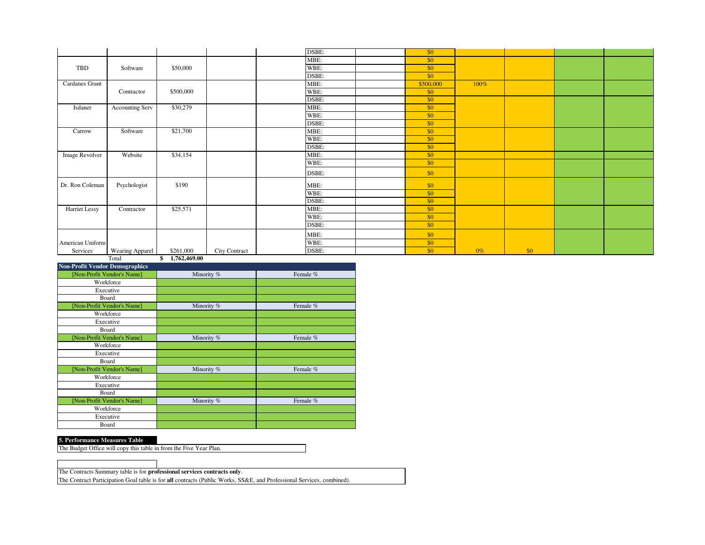|                       |                        |                                                                                                                                                     |               | DSBE: | \$0       |       |     |  |
|-----------------------|------------------------|-----------------------------------------------------------------------------------------------------------------------------------------------------|---------------|-------|-----------|-------|-----|--|
|                       |                        |                                                                                                                                                     |               | MBE:  | \$0       |       |     |  |
| TBD                   | Software               | \$50,000                                                                                                                                            |               | WBE:  | \$0       |       |     |  |
|                       |                        |                                                                                                                                                     |               | DSBE: | \$0       |       |     |  |
| <b>Cardanes Grant</b> |                        |                                                                                                                                                     |               | MBE:  | \$500,000 | 100%  |     |  |
|                       | Contractor             | \$500,000                                                                                                                                           |               | WBE:  | \$0       |       |     |  |
|                       |                        |                                                                                                                                                     |               | DSBE: | \$0       |       |     |  |
| Isdaner               | <b>Accounting Serv</b> | \$30,279                                                                                                                                            |               | MBE:  | \$0       |       |     |  |
|                       |                        |                                                                                                                                                     |               | WBE:  | \$0       |       |     |  |
|                       |                        |                                                                                                                                                     |               | DSBE: | \$0       |       |     |  |
| Carrow                | Software               | \$21,700                                                                                                                                            |               | MBE:  | \$0       |       |     |  |
|                       |                        |                                                                                                                                                     |               | WBE:  | \$0       |       |     |  |
|                       |                        |                                                                                                                                                     |               | DSBE: | \$0       |       |     |  |
| Image Revolver        | Website                | \$34,154                                                                                                                                            |               | MBE:  | \$0       |       |     |  |
|                       |                        |                                                                                                                                                     |               | WBE:  | \$0       |       |     |  |
|                       |                        |                                                                                                                                                     |               | DSBE: | \$0       |       |     |  |
| Dr. Ron Coleman       | Psychologist           | \$190                                                                                                                                               |               | MBE:  | \$0       |       |     |  |
|                       |                        |                                                                                                                                                     |               | WBE:  | \$0       |       |     |  |
|                       |                        |                                                                                                                                                     |               | DSBE: | \$0       |       |     |  |
| Harriet Lessy         | Contractor             | \$25,571                                                                                                                                            |               | MBE:  | \$0       |       |     |  |
|                       |                        |                                                                                                                                                     |               | WBE:  | \$0       |       |     |  |
|                       |                        |                                                                                                                                                     |               | DSBE: | \$0       |       |     |  |
|                       |                        |                                                                                                                                                     |               | MBE:  | \$0       |       |     |  |
| American Uniform      |                        |                                                                                                                                                     |               | WBE:  | \$0       |       |     |  |
| Services              | Wearing Apparel        | \$261,000<br>$\overline{a}$ $\overline{a}$ $\overline{a}$ $\overline{a}$ $\overline{a}$ $\overline{a}$ $\overline{a}$ $\overline{a}$ $\overline{a}$ | City Contract | DSBE: | \$0       | $0\%$ | \$0 |  |

Total **\$ 1,762,469.00**

| <b>Non-Profit Vendor Demographics</b> |            |          |
|---------------------------------------|------------|----------|
| [Non-Profit Vendor's Name]            | Minority % | Female % |
| Workforce                             |            |          |
| Executive                             |            |          |
| Board                                 |            |          |
| [Non-Profit Vendor's Name]            | Minority % | Female % |
| Workforce                             |            |          |
| Executive                             |            |          |
| Board                                 |            |          |
| [Non-Profit Vendor's Name]            | Minority % | Female % |
| Workforce                             |            |          |
| Executive                             |            |          |
| Board                                 |            |          |
| [Non-Profit Vendor's Name]            | Minority % | Female % |
| Workforce                             |            |          |
| Executive                             |            |          |
| Board                                 |            |          |
| [Non-Profit Vendor's Name]            | Minority % | Female % |
| Workforce                             |            |          |
| Executive                             |            |          |
| Board                                 |            |          |

### **5. Performance Measures Table**

The Budget Office will copy this table in from the Five Year Plan.

The Contracts Summary table is for **professional services contracts only**.

The Contract Participation Goal table is for **all** contracts (Public Works, SS&E, and Professional Services, combined).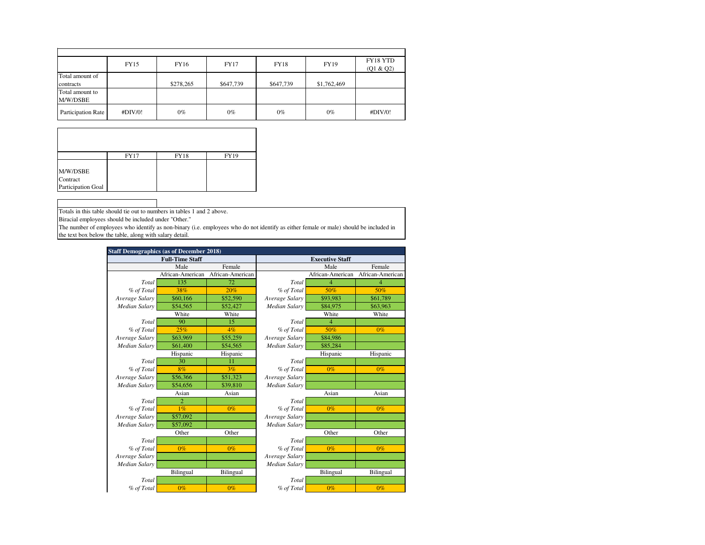|                             | FY15    | FY16      | <b>FY17</b> | <b>FY18</b> | FY19        | FY18 YTD<br>(Q1 & Q2) |
|-----------------------------|---------|-----------|-------------|-------------|-------------|-----------------------|
| Total amount of             |         |           |             |             |             |                       |
| contracts                   |         | \$278,265 | \$647,739   | \$647,739   | \$1,762,469 |                       |
| Total amount to<br>M/W/DSBE |         |           |             |             |             |                       |
| Participation Rate          | #DIV/0! | $0\%$     | $0\%$       | $0\%$       | $0\%$       | #DIV/0!               |

|                                | <b>FY17</b> | <b>FY18</b> | FY19 |
|--------------------------------|-------------|-------------|------|
| M/W/DSBE                       |             |             |      |
| Contract<br>Participation Goal |             |             |      |

Totals in this table should tie out to numbers in tables 1 and 2 above.

Biracial employees should be included under "Other."

The number of employees who identify as non-binary (i.e. employees who do not identify as either female or male) should be included in the text box below the table, along with salary detail.

| <b>Staff Demographics (as of December 2018)</b> |                        |                  |                        |                          |                  |  |  |  |
|-------------------------------------------------|------------------------|------------------|------------------------|--------------------------|------------------|--|--|--|
|                                                 | <b>Full-Time Staff</b> |                  | <b>Executive Staff</b> |                          |                  |  |  |  |
|                                                 | Male                   | Female           |                        | Male                     | Female           |  |  |  |
|                                                 | African-American       | African-American |                        | African-American         | African-American |  |  |  |
| Total                                           | 135                    | 72               | Total                  | 4                        | 4                |  |  |  |
| % of Total                                      | 38%                    | 20%              | % of Total             | 50%                      | 50%              |  |  |  |
| Average Salary                                  | \$60,166               | \$52,590         | Average Salary         | \$93,983                 | \$61,789         |  |  |  |
| Median Salary                                   | \$54,565               | \$52,427         | Median Salary          | \$84,975                 | \$63,963         |  |  |  |
|                                                 | White                  | White            |                        | White                    | White            |  |  |  |
| Total                                           | 90                     | 15               | Total                  | $\overline{\mathcal{A}}$ |                  |  |  |  |
| % of Total                                      | 25%                    | 4%               | % of Total             | 50%                      | $0\%$            |  |  |  |
| Average Salary                                  | \$63,969               | \$55,259         | Average Salary         | \$84,986                 |                  |  |  |  |
| Median Salary                                   | \$61,400               | \$54,565         | Median Salary          | \$85,284                 |                  |  |  |  |
|                                                 | Hispanic               | Hispanic         |                        | Hispanic                 |                  |  |  |  |
| Total                                           | 30                     | 11               | Total                  |                          |                  |  |  |  |
| % of Total                                      | 8%                     | 3%               | % of Total             | $0\%$                    | 0%               |  |  |  |
| Average Salary                                  | \$56,366               | \$51,323         | Average Salary         |                          |                  |  |  |  |
| Median Salary                                   | \$54,656               | \$39,810         | Median Salary          |                          |                  |  |  |  |
|                                                 | Asian                  | Asian            | Asian                  |                          | Asian            |  |  |  |
| Total                                           | $\overline{c}$         |                  | Total                  |                          |                  |  |  |  |
| % of Total                                      | $1\%$                  | $0\%$            | % of Total             | $0\%$                    | $0\%$            |  |  |  |
| Average Salary                                  | \$57,092               |                  | Average Salary         |                          |                  |  |  |  |
| Median Salary                                   | \$57,092               |                  | Median Salary          |                          |                  |  |  |  |
|                                                 | Other                  | Other            |                        | Other                    | Other            |  |  |  |
| Total                                           |                        |                  | Total                  |                          |                  |  |  |  |
| % of Total                                      | $0\%$                  | $0\%$            | % of Total             | $0\%$                    | $0\%$            |  |  |  |
| Average Salary                                  |                        |                  | Average Salary         |                          |                  |  |  |  |
| Median Salary                                   |                        |                  | Median Salary          |                          |                  |  |  |  |
|                                                 | Bilingual              | Bilingual        |                        | Bilingual                | Bilingual        |  |  |  |
| Total                                           |                        |                  | Total                  |                          |                  |  |  |  |
| % of Total                                      | $0\%$                  | $0\%$            | % of Total             | $0\%$                    | $0\%$            |  |  |  |